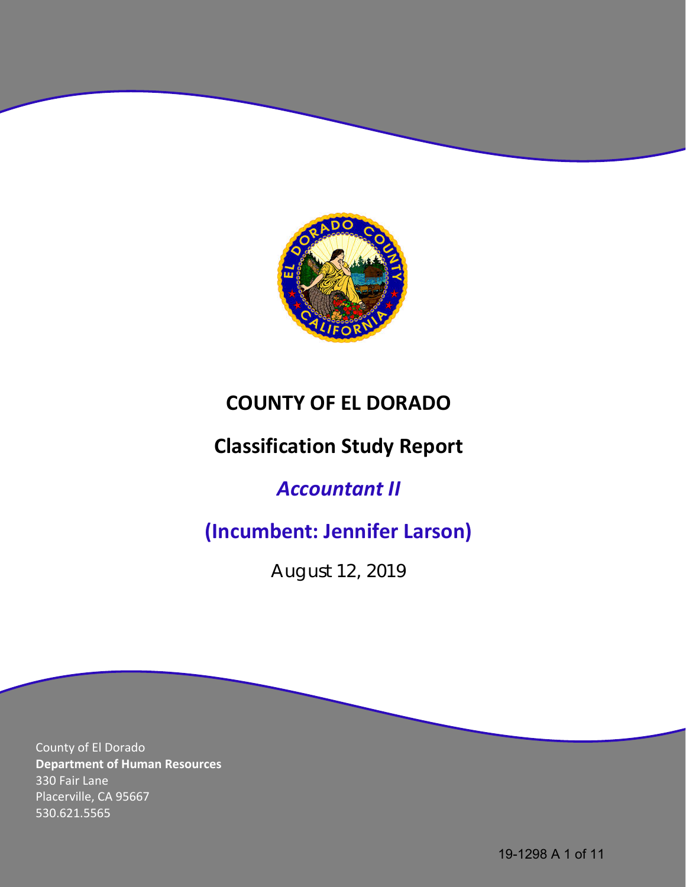

# **COUNTY OF EL DORADO**

# **Classification Study Report**

# *Accountant II*

# **(Incumbent: Jennifer Larson)**

August 12, 2019

County of El Dorado **Department of Human Resources** 330 Fair Lane Placerville, CA 95667 530.621.5565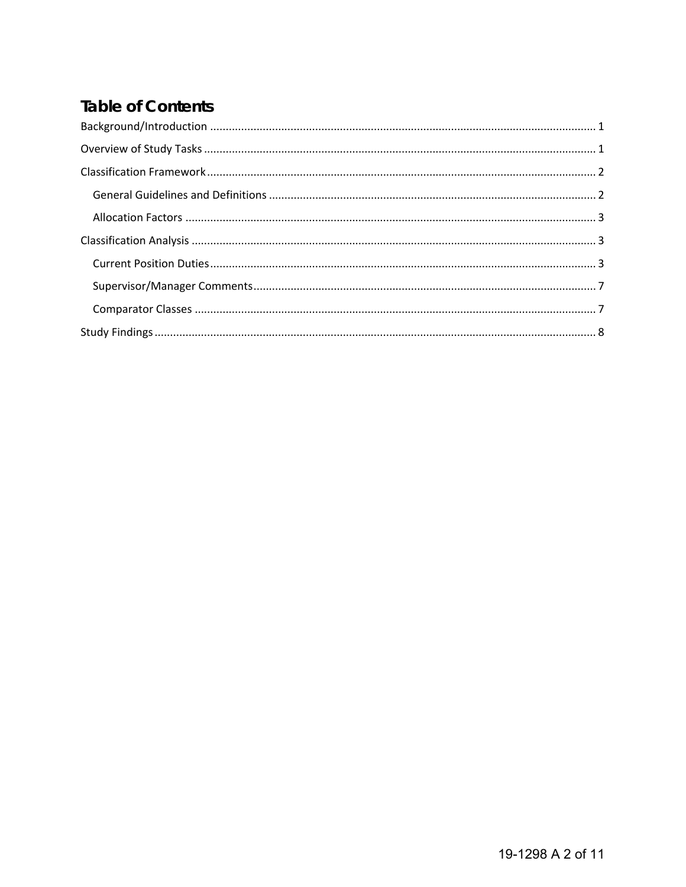# **Table of Contents**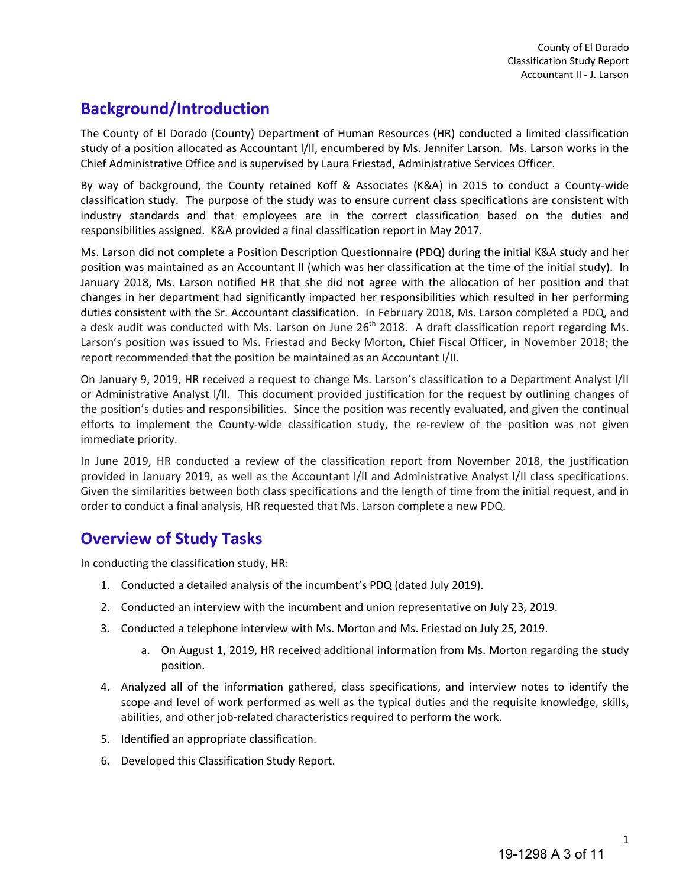## <span id="page-2-0"></span>**Background/Introduction**

The County of El Dorado (County) Department of Human Resources (HR) conducted a limited classification study of a position allocated as Accountant I/II, encumbered by Ms. Jennifer Larson. Ms. Larson works in the Chief Administrative Office and is supervised by Laura Friestad, Administrative Services Officer.

By way of background, the County retained Koff & Associates (K&A) in 2015 to conduct a County-wide classification study. The purpose of the study was to ensure current class specifications are consistent with industry standards and that employees are in the correct classification based on the duties and responsibilities assigned. K&A provided a final classification report in May 2017.

Ms. Larson did not complete a Position Description Questionnaire (PDQ) during the initial K&A study and her position was maintained as an Accountant II (which was her classification at the time of the initial study). In January 2018, Ms. Larson notified HR that she did not agree with the allocation of her position and that changes in her department had significantly impacted her responsibilities which resulted in her performing duties consistent with the Sr. Accountant classification. In February 2018, Ms. Larson completed a PDQ, and a desk audit was conducted with Ms. Larson on June  $26<sup>th</sup>$  2018. A draft classification report regarding Ms. Larson's position was issued to Ms. Friestad and Becky Morton, Chief Fiscal Officer, in November 2018; the report recommended that the position be maintained as an Accountant I/II.

On January 9, 2019, HR received a request to change Ms. Larson's classification to a Department Analyst I/II or Administrative Analyst I/II. This document provided justification for the request by outlining changes of the position's duties and responsibilities. Since the position was recently evaluated, and given the continual efforts to implement the County-wide classification study, the re-review of the position was not given immediate priority.

In June 2019, HR conducted a review of the classification report from November 2018, the justification provided in January 2019, as well as the Accountant I/II and Administrative Analyst I/II class specifications. Given the similarities between both class specifications and the length of time from the initial request, and in order to conduct a final analysis, HR requested that Ms. Larson complete a new PDQ.

## <span id="page-2-1"></span>**Overview of Study Tasks**

In conducting the classification study, HR:

- 1. Conducted a detailed analysis of the incumbent's PDQ (dated July 2019).
- 2. Conducted an interview with the incumbent and union representative on July 23, 2019.
- 3. Conducted a telephone interview with Ms. Morton and Ms. Friestad on July 25, 2019.
	- a. On August 1, 2019, HR received additional information from Ms. Morton regarding the study position.
- 4. Analyzed all of the information gathered, class specifications, and interview notes to identify the scope and level of work performed as well as the typical duties and the requisite knowledge, skills, abilities, and other job-related characteristics required to perform the work.
- 5. Identified an appropriate classification.
- 6. Developed this Classification Study Report.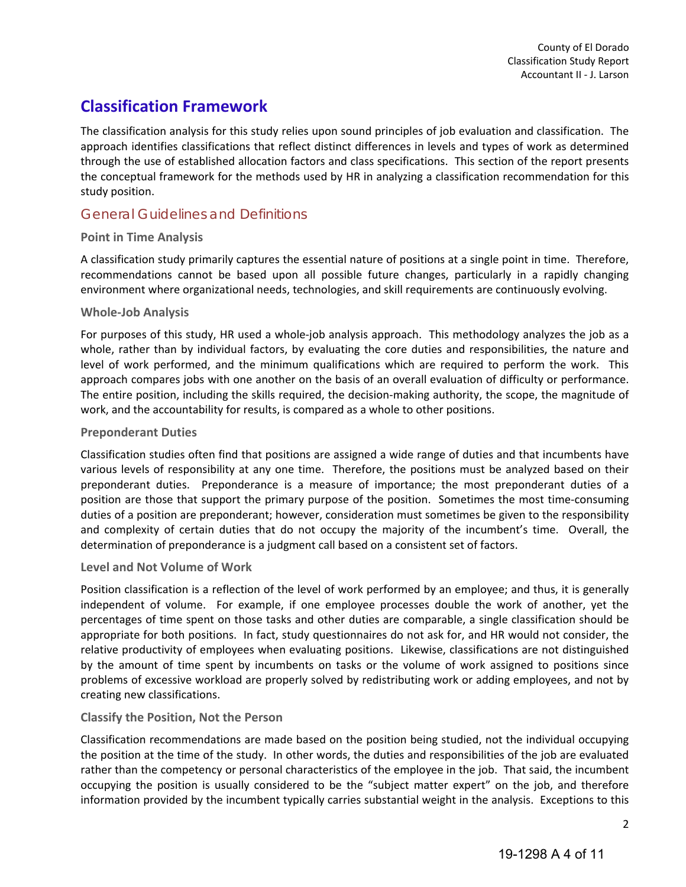## <span id="page-3-0"></span>**Classification Framework**

The classification analysis for this study relies upon sound principles of job evaluation and classification. The approach identifies classifications that reflect distinct differences in levels and types of work as determined through the use of established allocation factors and class specifications. This section of the report presents the conceptual framework for the methods used by HR in analyzing a classification recommendation for this study position.

## <span id="page-3-1"></span>General Guidelines and Definitions

#### **Point in Time Analysis**

A classification study primarily captures the essential nature of positions at a single point in time. Therefore, recommendations cannot be based upon all possible future changes, particularly in a rapidly changing environment where organizational needs, technologies, and skill requirements are continuously evolving.

#### **Whole-Job Analysis**

For purposes of this study, HR used a whole-job analysis approach. This methodology analyzes the job as a whole, rather than by individual factors, by evaluating the core duties and responsibilities, the nature and level of work performed, and the minimum qualifications which are required to perform the work. This approach compares jobs with one another on the basis of an overall evaluation of difficulty or performance. The entire position, including the skills required, the decision-making authority, the scope, the magnitude of work, and the accountability for results, is compared as a whole to other positions.

#### **Preponderant Duties**

Classification studies often find that positions are assigned a wide range of duties and that incumbents have various levels of responsibility at any one time. Therefore, the positions must be analyzed based on their preponderant duties. Preponderance is a measure of importance; the most preponderant duties of a position are those that support the primary purpose of the position. Sometimes the most time-consuming duties of a position are preponderant; however, consideration must sometimes be given to the responsibility and complexity of certain duties that do not occupy the majority of the incumbent's time. Overall, the determination of preponderance is a judgment call based on a consistent set of factors.

#### **Level and Not Volume of Work**

Position classification is a reflection of the level of work performed by an employee; and thus, it is generally independent of volume. For example, if one employee processes double the work of another, yet the percentages of time spent on those tasks and other duties are comparable, a single classification should be appropriate for both positions. In fact, study questionnaires do not ask for, and HR would not consider, the relative productivity of employees when evaluating positions. Likewise, classifications are not distinguished by the amount of time spent by incumbents on tasks or the volume of work assigned to positions since problems of excessive workload are properly solved by redistributing work or adding employees, and not by creating new classifications.

#### **Classify the Position, Not the Person**

Classification recommendations are made based on the position being studied, not the individual occupying the position at the time of the study. In other words, the duties and responsibilities of the job are evaluated rather than the competency or personal characteristics of the employee in the job. That said, the incumbent occupying the position is usually considered to be the "subject matter expert" on the job, and therefore information provided by the incumbent typically carries substantial weight in the analysis. Exceptions to this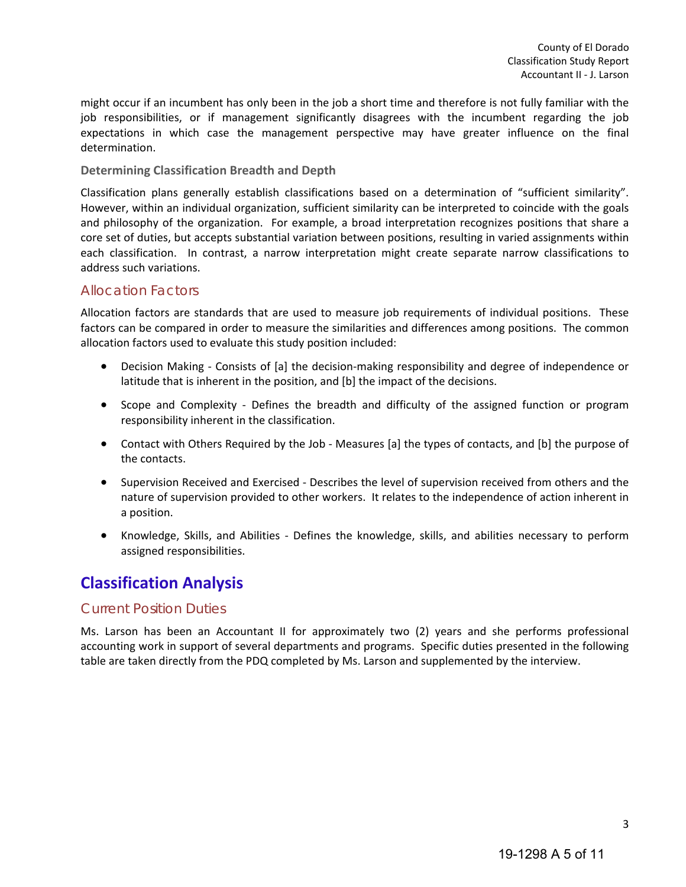might occur if an incumbent has only been in the job a short time and therefore is not fully familiar with the job responsibilities, or if management significantly disagrees with the incumbent regarding the job expectations in which case the management perspective may have greater influence on the final determination.

#### **Determining Classification Breadth and Depth**

Classification plans generally establish classifications based on a determination of "sufficient similarity". However, within an individual organization, sufficient similarity can be interpreted to coincide with the goals and philosophy of the organization. For example, a broad interpretation recognizes positions that share a core set of duties, but accepts substantial variation between positions, resulting in varied assignments within each classification. In contrast, a narrow interpretation might create separate narrow classifications to address such variations.

### <span id="page-4-0"></span>Allocation Factors

Allocation factors are standards that are used to measure job requirements of individual positions. These factors can be compared in order to measure the similarities and differences among positions. The common allocation factors used to evaluate this study position included:

- Decision Making Consists of [a] the decision-making responsibility and degree of independence or latitude that is inherent in the position, and [b] the impact of the decisions.
- Scope and Complexity Defines the breadth and difficulty of the assigned function or program responsibility inherent in the classification.
- Contact with Others Required by the Job Measures [a] the types of contacts, and [b] the purpose of the contacts.
- Supervision Received and Exercised Describes the level of supervision received from others and the nature of supervision provided to other workers. It relates to the independence of action inherent in a position.
- Knowledge, Skills, and Abilities Defines the knowledge, skills, and abilities necessary to perform assigned responsibilities.

## <span id="page-4-1"></span>**Classification Analysis**

## <span id="page-4-2"></span>Current Position Duties

Ms. Larson has been an Accountant II for approximately two (2) years and she performs professional accounting work in support of several departments and programs. Specific duties presented in the following table are taken directly from the PDQ completed by Ms. Larson and supplemented by the interview.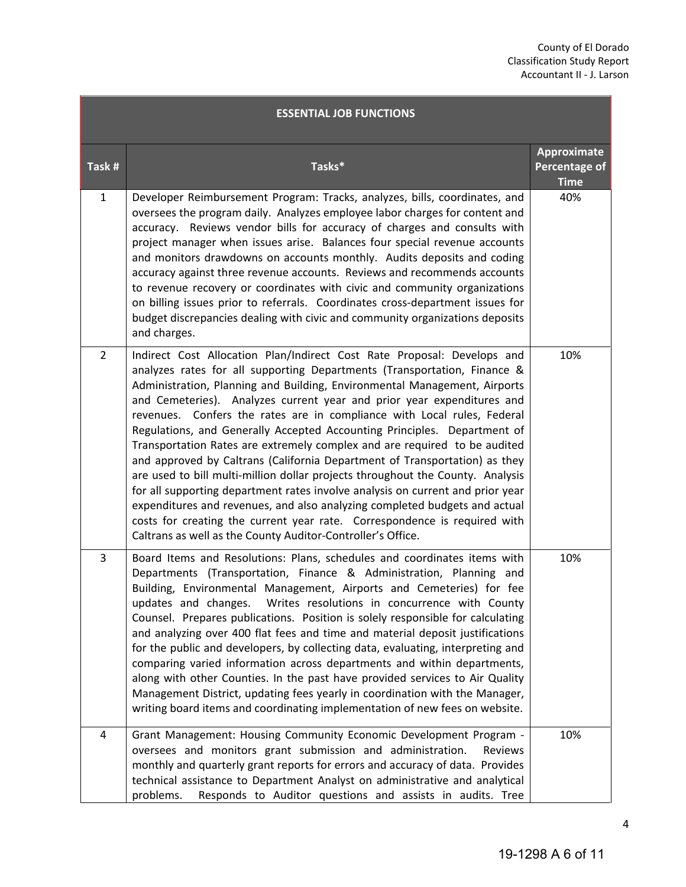| <b>ESSENTIAL JOB FUNCTIONS</b> |                                                                                                                                                                                                                                                                                                                                                                                                                                                                                                                                                                                                                                                                                                                                                                                                                                                                                                                                                                                                                            |                                             |  |  |
|--------------------------------|----------------------------------------------------------------------------------------------------------------------------------------------------------------------------------------------------------------------------------------------------------------------------------------------------------------------------------------------------------------------------------------------------------------------------------------------------------------------------------------------------------------------------------------------------------------------------------------------------------------------------------------------------------------------------------------------------------------------------------------------------------------------------------------------------------------------------------------------------------------------------------------------------------------------------------------------------------------------------------------------------------------------------|---------------------------------------------|--|--|
| Task #                         | Tasks*                                                                                                                                                                                                                                                                                                                                                                                                                                                                                                                                                                                                                                                                                                                                                                                                                                                                                                                                                                                                                     | Approximate<br>Percentage of<br><b>Time</b> |  |  |
| $\mathbf{1}$                   | Developer Reimbursement Program: Tracks, analyzes, bills, coordinates, and<br>oversees the program daily. Analyzes employee labor charges for content and<br>accuracy. Reviews vendor bills for accuracy of charges and consults with<br>project manager when issues arise. Balances four special revenue accounts<br>and monitors drawdowns on accounts monthly. Audits deposits and coding<br>accuracy against three revenue accounts. Reviews and recommends accounts<br>to revenue recovery or coordinates with civic and community organizations<br>on billing issues prior to referrals. Coordinates cross-department issues for<br>budget discrepancies dealing with civic and community organizations deposits<br>and charges.                                                                                                                                                                                                                                                                                     | 40%                                         |  |  |
| $\overline{2}$                 | Indirect Cost Allocation Plan/Indirect Cost Rate Proposal: Develops and<br>analyzes rates for all supporting Departments (Transportation, Finance &<br>Administration, Planning and Building, Environmental Management, Airports<br>and Cemeteries). Analyzes current year and prior year expenditures and<br>revenues. Confers the rates are in compliance with Local rules, Federal<br>Regulations, and Generally Accepted Accounting Principles. Department of<br>Transportation Rates are extremely complex and are required to be audited<br>and approved by Caltrans (California Department of Transportation) as they<br>are used to bill multi-million dollar projects throughout the County. Analysis<br>for all supporting department rates involve analysis on current and prior year<br>expenditures and revenues, and also analyzing completed budgets and actual<br>costs for creating the current year rate. Correspondence is required with<br>Caltrans as well as the County Auditor-Controller's Office. | 10%                                         |  |  |
| $\overline{3}$                 | Board Items and Resolutions: Plans, schedules and coordinates items with<br>Departments (Transportation, Finance & Administration, Planning and<br>Building, Environmental Management, Airports and Cemeteries) for fee<br>updates and changes.<br>Writes resolutions in concurrence with County<br>Counsel. Prepares publications. Position is solely responsible for calculating<br>and analyzing over 400 flat fees and time and material deposit justifications<br>for the public and developers, by collecting data, evaluating, interpreting and<br>comparing varied information across departments and within departments,<br>along with other Counties. In the past have provided services to Air Quality<br>Management District, updating fees yearly in coordination with the Manager,<br>writing board items and coordinating implementation of new fees on website.                                                                                                                                            | 10%                                         |  |  |
| 4                              | Grant Management: Housing Community Economic Development Program -<br>oversees and monitors grant submission and administration.<br>Reviews<br>monthly and quarterly grant reports for errors and accuracy of data. Provides<br>technical assistance to Department Analyst on administrative and analytical<br>problems.<br>Responds to Auditor questions and assists in audits. Tree                                                                                                                                                                                                                                                                                                                                                                                                                                                                                                                                                                                                                                      | 10%                                         |  |  |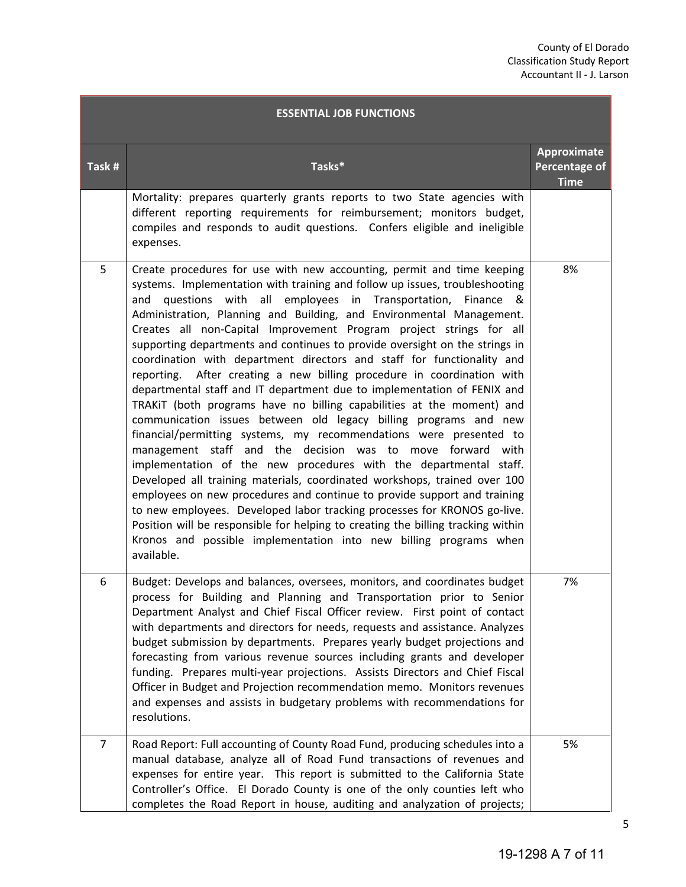| <b>ESSENTIAL JOB FUNCTIONS</b> |                                                                                                                                                                                                                                                                                                                                                                                                                                                                                                                                                                                                                                                                                                                                                                                                                                                                                                                                                                                                                                                                                                                                                                                                                                                                                                                                                                                                                                                                   |                                             |  |  |
|--------------------------------|-------------------------------------------------------------------------------------------------------------------------------------------------------------------------------------------------------------------------------------------------------------------------------------------------------------------------------------------------------------------------------------------------------------------------------------------------------------------------------------------------------------------------------------------------------------------------------------------------------------------------------------------------------------------------------------------------------------------------------------------------------------------------------------------------------------------------------------------------------------------------------------------------------------------------------------------------------------------------------------------------------------------------------------------------------------------------------------------------------------------------------------------------------------------------------------------------------------------------------------------------------------------------------------------------------------------------------------------------------------------------------------------------------------------------------------------------------------------|---------------------------------------------|--|--|
| Task #                         | Tasks*                                                                                                                                                                                                                                                                                                                                                                                                                                                                                                                                                                                                                                                                                                                                                                                                                                                                                                                                                                                                                                                                                                                                                                                                                                                                                                                                                                                                                                                            | Approximate<br>Percentage of<br><b>Time</b> |  |  |
|                                | Mortality: prepares quarterly grants reports to two State agencies with<br>different reporting requirements for reimbursement; monitors budget,<br>compiles and responds to audit questions. Confers eligible and ineligible<br>expenses.                                                                                                                                                                                                                                                                                                                                                                                                                                                                                                                                                                                                                                                                                                                                                                                                                                                                                                                                                                                                                                                                                                                                                                                                                         |                                             |  |  |
| 5                              | Create procedures for use with new accounting, permit and time keeping<br>systems. Implementation with training and follow up issues, troubleshooting<br>questions with all employees in Transportation,<br>and<br>Finance<br>୍ୟ ଧ<br>Administration, Planning and Building, and Environmental Management.<br>Creates all non-Capital Improvement Program project strings for all<br>supporting departments and continues to provide oversight on the strings in<br>coordination with department directors and staff for functionality and<br>reporting. After creating a new billing procedure in coordination with<br>departmental staff and IT department due to implementation of FENIX and<br>TRAKIT (both programs have no billing capabilities at the moment) and<br>communication issues between old legacy billing programs and new<br>financial/permitting systems, my recommendations were presented to<br>management staff and the decision was to move forward with<br>implementation of the new procedures with the departmental staff.<br>Developed all training materials, coordinated workshops, trained over 100<br>employees on new procedures and continue to provide support and training<br>to new employees. Developed labor tracking processes for KRONOS go-live.<br>Position will be responsible for helping to creating the billing tracking within<br>Kronos and possible implementation into new billing programs when<br>available. | 8%                                          |  |  |
| 6                              | Budget: Develops and balances, oversees, monitors, and coordinates budget<br>process for Building and Planning and Transportation prior to Senior<br>Department Analyst and Chief Fiscal Officer review. First point of contact<br>with departments and directors for needs, requests and assistance. Analyzes<br>budget submission by departments. Prepares yearly budget projections and<br>forecasting from various revenue sources including grants and developer<br>funding. Prepares multi-year projections. Assists Directors and Chief Fiscal<br>Officer in Budget and Projection recommendation memo. Monitors revenues<br>and expenses and assists in budgetary problems with recommendations for<br>resolutions.                                                                                                                                                                                                                                                                                                                                                                                                                                                                                                                                                                                                                                                                                                                                       | 7%                                          |  |  |
| $\overline{7}$                 | Road Report: Full accounting of County Road Fund, producing schedules into a<br>manual database, analyze all of Road Fund transactions of revenues and<br>expenses for entire year. This report is submitted to the California State<br>Controller's Office. El Dorado County is one of the only counties left who<br>completes the Road Report in house, auditing and analyzation of projects;                                                                                                                                                                                                                                                                                                                                                                                                                                                                                                                                                                                                                                                                                                                                                                                                                                                                                                                                                                                                                                                                   | 5%                                          |  |  |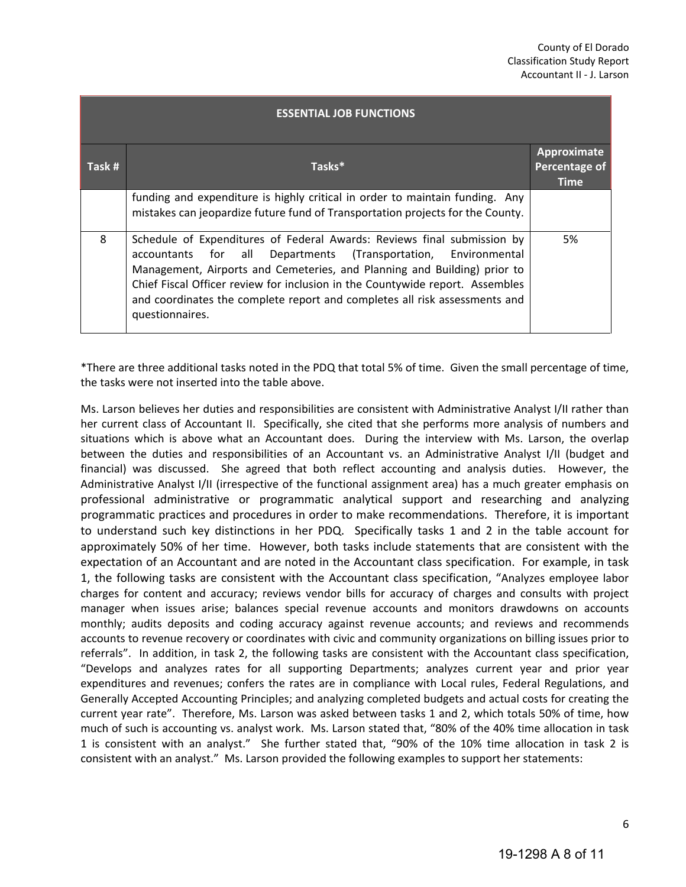| <b>ESSENTIAL JOB FUNCTIONS</b> |                                                                                                                                                                                                                                                                                                                                                                                                            |                                             |  |  |  |
|--------------------------------|------------------------------------------------------------------------------------------------------------------------------------------------------------------------------------------------------------------------------------------------------------------------------------------------------------------------------------------------------------------------------------------------------------|---------------------------------------------|--|--|--|
| Task #                         | Tasks*                                                                                                                                                                                                                                                                                                                                                                                                     | Approximate<br>Percentage of<br><b>Time</b> |  |  |  |
|                                | funding and expenditure is highly critical in order to maintain funding. Any<br>mistakes can jeopardize future fund of Transportation projects for the County.                                                                                                                                                                                                                                             |                                             |  |  |  |
| 8                              | Schedule of Expenditures of Federal Awards: Reviews final submission by<br>accountants for all<br>Departments (Transportation, Environmental<br>Management, Airports and Cemeteries, and Planning and Building) prior to<br>Chief Fiscal Officer review for inclusion in the Countywide report. Assembles<br>and coordinates the complete report and completes all risk assessments and<br>questionnaires. | 5%                                          |  |  |  |

\*There are three additional tasks noted in the PDQ that total 5% of time. Given the small percentage of time, the tasks were not inserted into the table above.

Ms. Larson believes her duties and responsibilities are consistent with Administrative Analyst I/II rather than her current class of Accountant II. Specifically, she cited that she performs more analysis of numbers and situations which is above what an Accountant does. During the interview with Ms. Larson, the overlap between the duties and responsibilities of an Accountant vs. an Administrative Analyst I/II (budget and financial) was discussed. She agreed that both reflect accounting and analysis duties. However, the Administrative Analyst I/II (irrespective of the functional assignment area) has a much greater emphasis on professional administrative or programmatic analytical support and researching and analyzing programmatic practices and procedures in order to make recommendations. Therefore, it is important to understand such key distinctions in her PDQ. Specifically tasks 1 and 2 in the table account for approximately 50% of her time. However, both tasks include statements that are consistent with the expectation of an Accountant and are noted in the Accountant class specification. For example, in task 1, the following tasks are consistent with the Accountant class specification, "Analyzes employee labor charges for content and accuracy; reviews vendor bills for accuracy of charges and consults with project manager when issues arise; balances special revenue accounts and monitors drawdowns on accounts monthly; audits deposits and coding accuracy against revenue accounts; and reviews and recommends accounts to revenue recovery or coordinates with civic and community organizations on billing issues prior to referrals". In addition, in task 2, the following tasks are consistent with the Accountant class specification, "Develops and analyzes rates for all supporting Departments; analyzes current year and prior year expenditures and revenues; confers the rates are in compliance with Local rules, Federal Regulations, and Generally Accepted Accounting Principles; and analyzing completed budgets and actual costs for creating the current year rate". Therefore, Ms. Larson was asked between tasks 1 and 2, which totals 50% of time, how much of such is accounting vs. analyst work. Ms. Larson stated that, "80% of the 40% time allocation in task 1 is consistent with an analyst." She further stated that, "90% of the 10% time allocation in task 2 is consistent with an analyst." Ms. Larson provided the following examples to support her statements: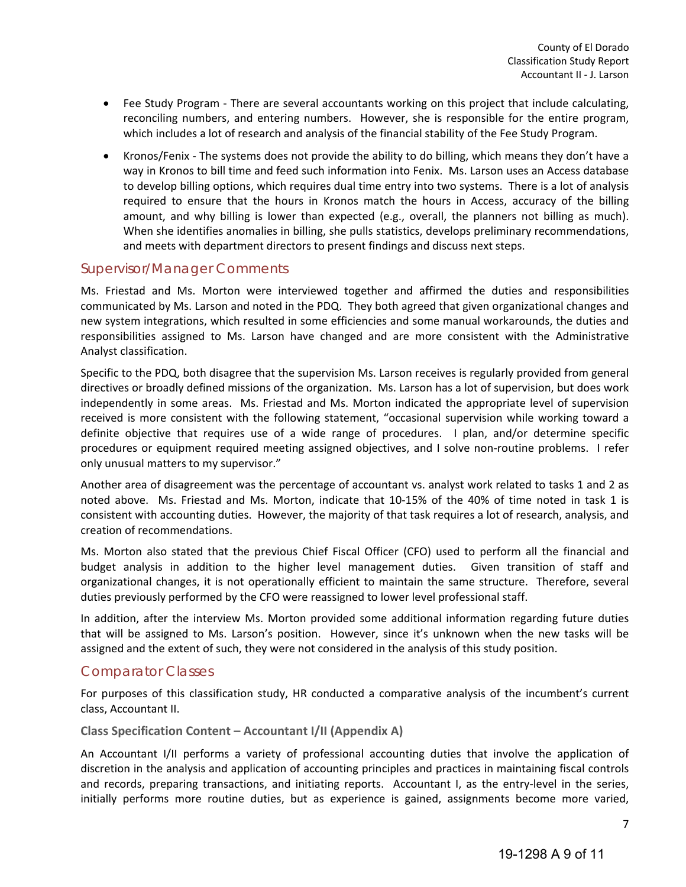- Fee Study Program There are several accountants working on this project that include calculating, reconciling numbers, and entering numbers. However, she is responsible for the entire program, which includes a lot of research and analysis of the financial stability of the Fee Study Program.
- Kronos/Fenix The systems does not provide the ability to do billing, which means they don't have a way in Kronos to bill time and feed such information into Fenix. Ms. Larson uses an Access database to develop billing options, which requires dual time entry into two systems. There is a lot of analysis required to ensure that the hours in Kronos match the hours in Access, accuracy of the billing amount, and why billing is lower than expected (e.g., overall, the planners not billing as much). When she identifies anomalies in billing, she pulls statistics, develops preliminary recommendations, and meets with department directors to present findings and discuss next steps.

### <span id="page-8-0"></span>Supervisor/Manager Comments

Ms. Friestad and Ms. Morton were interviewed together and affirmed the duties and responsibilities communicated by Ms. Larson and noted in the PDQ. They both agreed that given organizational changes and new system integrations, which resulted in some efficiencies and some manual workarounds, the duties and responsibilities assigned to Ms. Larson have changed and are more consistent with the Administrative Analyst classification.

Specific to the PDQ, both disagree that the supervision Ms. Larson receives is regularly provided from general directives or broadly defined missions of the organization. Ms. Larson has a lot of supervision, but does work independently in some areas. Ms. Friestad and Ms. Morton indicated the appropriate level of supervision received is more consistent with the following statement, "occasional supervision while working toward a definite objective that requires use of a wide range of procedures. I plan, and/or determine specific procedures or equipment required meeting assigned objectives, and I solve non-routine problems. I refer only unusual matters to my supervisor."

Another area of disagreement was the percentage of accountant vs. analyst work related to tasks 1 and 2 as noted above. Ms. Friestad and Ms. Morton, indicate that 10-15% of the 40% of time noted in task 1 is consistent with accounting duties. However, the majority of that task requires a lot of research, analysis, and creation of recommendations.

Ms. Morton also stated that the previous Chief Fiscal Officer (CFO) used to perform all the financial and budget analysis in addition to the higher level management duties. Given transition of staff and organizational changes, it is not operationally efficient to maintain the same structure. Therefore, several duties previously performed by the CFO were reassigned to lower level professional staff.

In addition, after the interview Ms. Morton provided some additional information regarding future duties that will be assigned to Ms. Larson's position. However, since it's unknown when the new tasks will be assigned and the extent of such, they were not considered in the analysis of this study position.

### <span id="page-8-1"></span>Comparator Classes

For purposes of this classification study, HR conducted a comparative analysis of the incumbent's current class, Accountant II.

#### **Class Specification Content – Accountant I/II (Appendix A)**

An Accountant I/II performs a variety of professional accounting duties that involve the application of discretion in the analysis and application of accounting principles and practices in maintaining fiscal controls and records, preparing transactions, and initiating reports. Accountant I, as the entry-level in the series, initially performs more routine duties, but as experience is gained, assignments become more varied,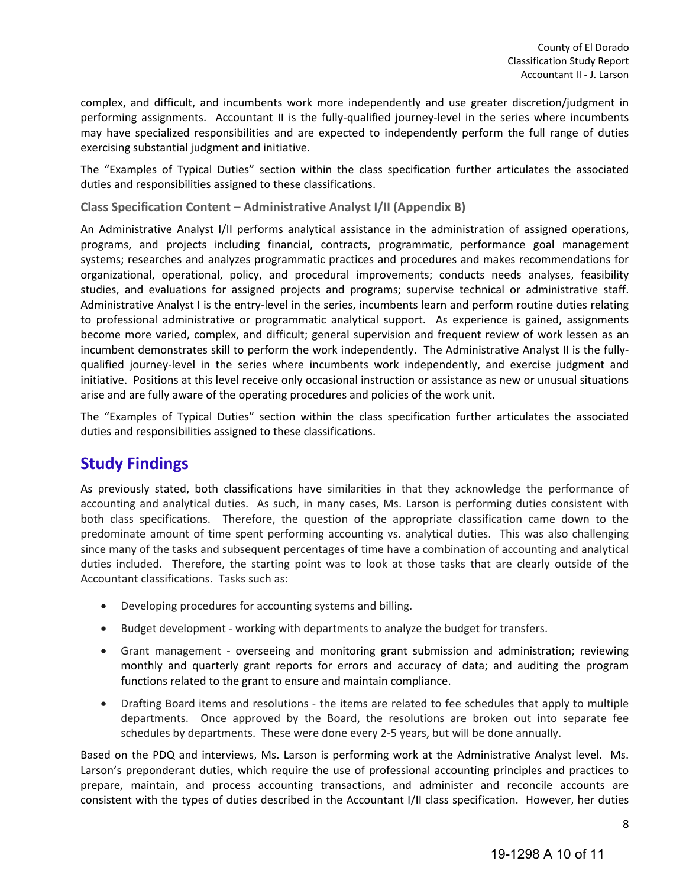complex, and difficult, and incumbents work more independently and use greater discretion/judgment in performing assignments. Accountant II is the fully-qualified journey-level in the series where incumbents may have specialized responsibilities and are expected to independently perform the full range of duties exercising substantial judgment and initiative.

The "Examples of Typical Duties" section within the class specification further articulates the associated duties and responsibilities assigned to these classifications.

**Class Specification Content – Administrative Analyst I/II (Appendix B)**

An Administrative Analyst I/II performs analytical assistance in the administration of assigned operations, programs, and projects including financial, contracts, programmatic, performance goal management systems; researches and analyzes programmatic practices and procedures and makes recommendations for organizational, operational, policy, and procedural improvements; conducts needs analyses, feasibility studies, and evaluations for assigned projects and programs; supervise technical or administrative staff. Administrative Analyst I is the entry-level in the series, incumbents learn and perform routine duties relating to professional administrative or programmatic analytical support. As experience is gained, assignments become more varied, complex, and difficult; general supervision and frequent review of work lessen as an incumbent demonstrates skill to perform the work independently. The Administrative Analyst II is the fullyqualified journey-level in the series where incumbents work independently, and exercise judgment and initiative. Positions at this level receive only occasional instruction or assistance as new or unusual situations arise and are fully aware of the operating procedures and policies of the work unit.

The "Examples of Typical Duties" section within the class specification further articulates the associated duties and responsibilities assigned to these classifications.

## <span id="page-9-0"></span>**Study Findings**

As previously stated, both classifications have similarities in that they acknowledge the performance of accounting and analytical duties. As such, in many cases, Ms. Larson is performing duties consistent with both class specifications. Therefore, the question of the appropriate classification came down to the predominate amount of time spent performing accounting vs. analytical duties. This was also challenging since many of the tasks and subsequent percentages of time have a combination of accounting and analytical duties included. Therefore, the starting point was to look at those tasks that are clearly outside of the Accountant classifications. Tasks such as:

- Developing procedures for accounting systems and billing.
- Budget development working with departments to analyze the budget for transfers.
- Grant management overseeing and monitoring grant submission and administration; reviewing monthly and quarterly grant reports for errors and accuracy of data; and auditing the program functions related to the grant to ensure and maintain compliance.
- Drafting Board items and resolutions the items are related to fee schedules that apply to multiple departments. Once approved by the Board, the resolutions are broken out into separate fee schedules by departments. These were done every 2-5 years, but will be done annually.

Based on the PDQ and interviews, Ms. Larson is performing work at the Administrative Analyst level. Ms. Larson's preponderant duties, which require the use of professional accounting principles and practices to prepare, maintain, and process accounting transactions, and administer and reconcile accounts are consistent with the types of duties described in the Accountant I/II class specification. However, her duties